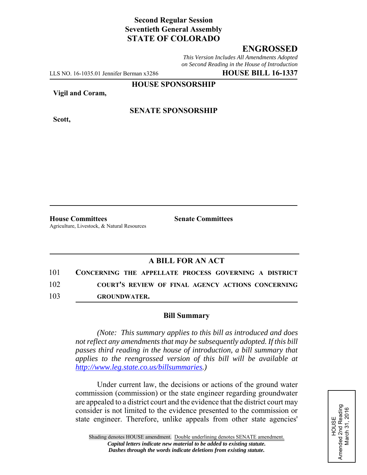## **Second Regular Session Seventieth General Assembly STATE OF COLORADO**

# **ENGROSSED**

*This Version Includes All Amendments Adopted on Second Reading in the House of Introduction*

LLS NO. 16-1035.01 Jennifer Berman x3286 **HOUSE BILL 16-1337**

**HOUSE SPONSORSHIP**

**Vigil and Coram,**

**Scott,**

#### **SENATE SPONSORSHIP**

**House Committees Senate Committees** Agriculture, Livestock, & Natural Resources

### **A BILL FOR AN ACT**

| 101 | CONCERNING THE APPELLATE PROCESS GOVERNING A DISTRICT |
|-----|-------------------------------------------------------|
| 102 | COURT'S REVIEW OF FINAL AGENCY ACTIONS CONCERNING     |

103 **GROUNDWATER.**

#### **Bill Summary**

*(Note: This summary applies to this bill as introduced and does not reflect any amendments that may be subsequently adopted. If this bill passes third reading in the house of introduction, a bill summary that applies to the reengrossed version of this bill will be available at http://www.leg.state.co.us/billsummaries.)*

Under current law, the decisions or actions of the ground water commission (commission) or the state engineer regarding groundwater are appealed to a district court and the evidence that the district court may consider is not limited to the evidence presented to the commission or state engineer. Therefore, unlike appeals from other state agencies'

Amended 2nd Reading<br>March 31, 2016 Amended 2nd Reading March 31, 2016 HOUSE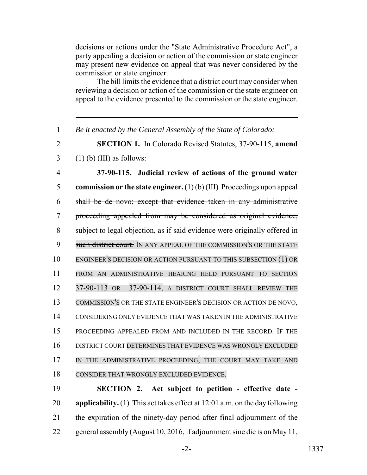decisions or actions under the "State Administrative Procedure Act", a party appealing a decision or action of the commission or state engineer may present new evidence on appeal that was never considered by the commission or state engineer.

The bill limits the evidence that a district court may consider when reviewing a decision or action of the commission or the state engineer on appeal to the evidence presented to the commission or the state engineer.

*Be it enacted by the General Assembly of the State of Colorado:*

 **SECTION 1.** In Colorado Revised Statutes, 37-90-115, **amend** (1) (b) (III) as follows:

 **37-90-115. Judicial review of actions of the ground water commission or the state engineer.** (1) (b) (III) Proceedings upon appeal shall be de novo; except that evidence taken in any administrative proceeding appealed from may be considered as original evidence, subject to legal objection, as if said evidence were originally offered in 9 such district court. IN ANY APPEAL OF THE COMMISSION'S OR THE STATE ENGINEER'S DECISION OR ACTION PURSUANT TO THIS SUBSECTION (1) OR FROM AN ADMINISTRATIVE HEARING HELD PURSUANT TO SECTION 37-90-113 OR 37-90-114, A DISTRICT COURT SHALL REVIEW THE COMMISSION'S OR THE STATE ENGINEER'S DECISION OR ACTION DE NOVO, CONSIDERING ONLY EVIDENCE THAT WAS TAKEN IN THE ADMINISTRATIVE PROCEEDING APPEALED FROM AND INCLUDED IN THE RECORD. IF THE DISTRICT COURT DETERMINES THAT EVIDENCE WAS WRONGLY EXCLUDED 17 IN THE ADMINISTRATIVE PROCEEDING, THE COURT MAY TAKE AND CONSIDER THAT WRONGLY EXCLUDED EVIDENCE.

 **SECTION 2. Act subject to petition - effective date - applicability.** (1) This act takes effect at 12:01 a.m. on the day following the expiration of the ninety-day period after final adjournment of the general assembly (August 10, 2016, if adjournment sine die is on May 11,